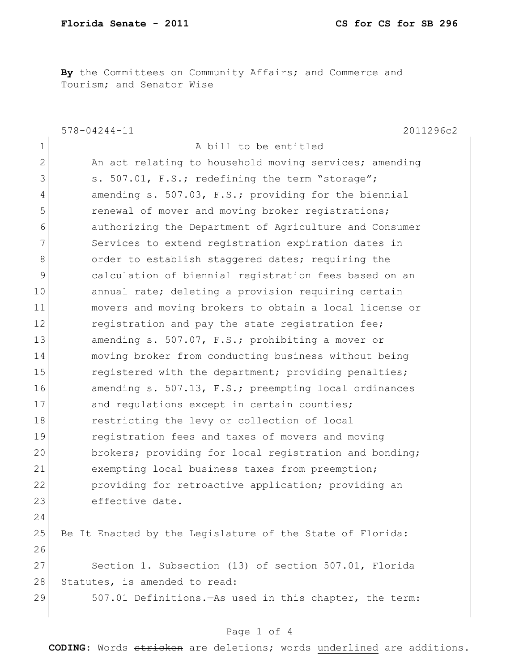**By** the Committees on Community Affairs; and Commerce and Tourism; and Senator Wise

578-04244-11 2011296c2 1 a bill to be entitled 2 An act relating to household moving services; amending 3 s. 507.01, F.S.; redefining the term "storage"; 4 amending s. 507.03, F.S.; providing for the biennial 5 **19** renewal of mover and moving broker registrations; 6 authorizing the Department of Agriculture and Consumer 7 Services to extend registration expiration dates in 8 order to establish staggered dates; requiring the 9 calculation of biennial registration fees based on an 10 annual rate; deleting a provision requiring certain 11 movers and moving brokers to obtain a local license or 12 registration and pay the state registration fee; 13 amending s. 507.07, F.S.; prohibiting a mover or 14 moving broker from conducting business without being 15 registered with the department; providing penalties; 16 amending s. 507.13, F.S.; preempting local ordinances 17 and regulations except in certain counties; 18 restricting the levy or collection of local 19 registration fees and taxes of movers and moving 20 brokers; providing for local registration and bonding; 21 exempting local business taxes from preemption; 22 **providing for retroactive application;** providing an 23 effective date. 24 25 Be It Enacted by the Legislature of the State of Florida: 26 27 Section 1. Subsection (13) of section 507.01, Florida 28 Statutes, is amended to read: 29 507.01 Definitions.—As used in this chapter, the term:

## Page 1 of 4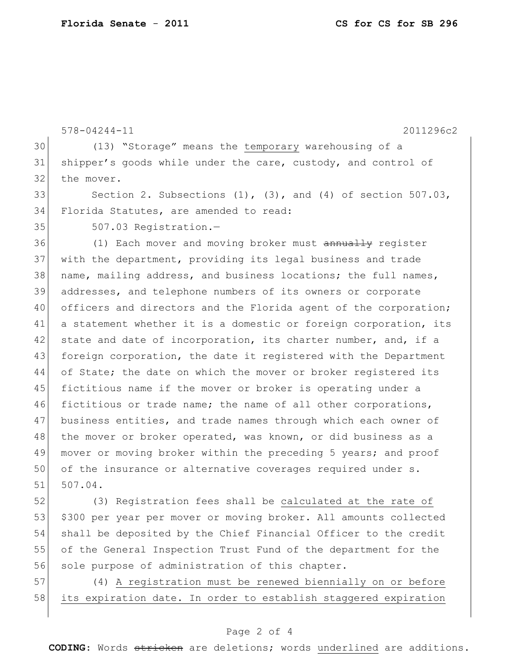|    | $578 - 04244 - 11$<br>2011296c2                                     |
|----|---------------------------------------------------------------------|
| 30 | (13) "Storage" means the temporary warehousing of a                 |
| 31 | shipper's goods while under the care, custody, and control of       |
| 32 | the mover.                                                          |
| 33 | Section 2. Subsections $(1)$ , $(3)$ , and $(4)$ of section 507.03, |
| 34 | Florida Statutes, are amended to read:                              |
| 35 | 507.03 Registration.-                                               |
| 36 | (1) Each mover and moving broker must annually register             |
| 37 | with the department, providing its legal business and trade         |
| 38 | name, mailing address, and business locations; the full names,      |
| 39 | addresses, and telephone numbers of its owners or corporate         |
| 40 | officers and directors and the Florida agent of the corporation;    |
| 41 | a statement whether it is a domestic or foreign corporation, its    |
| 42 | state and date of incorporation, its charter number, and, if a      |
| 43 | foreign corporation, the date it registered with the Department     |
| 44 | of State; the date on which the mover or broker registered its      |
| 45 | fictitious name if the mover or broker is operating under a         |
| 46 | fictitious or trade name; the name of all other corporations,       |
| 47 | business entities, and trade names through which each owner of      |
| 48 | the mover or broker operated, was known, or did business as a       |
| 49 | mover or moving broker within the preceding 5 years; and proof      |
| 50 | of the insurance or alternative coverages required under s.         |
| 51 | 507.04.                                                             |
| 52 | (3) Registration fees shall be calculated at the rate of            |
|    |                                                                     |

53 \$300 per year per mover or moving broker. All amounts collected 54 shall be deposited by the Chief Financial Officer to the credit 55 of the General Inspection Trust Fund of the department for the 56 sole purpose of administration of this chapter.

57 (4) A registration must be renewed biennially on or before 58 its expiration date. In order to establish staggered expiration

## Page 2 of 4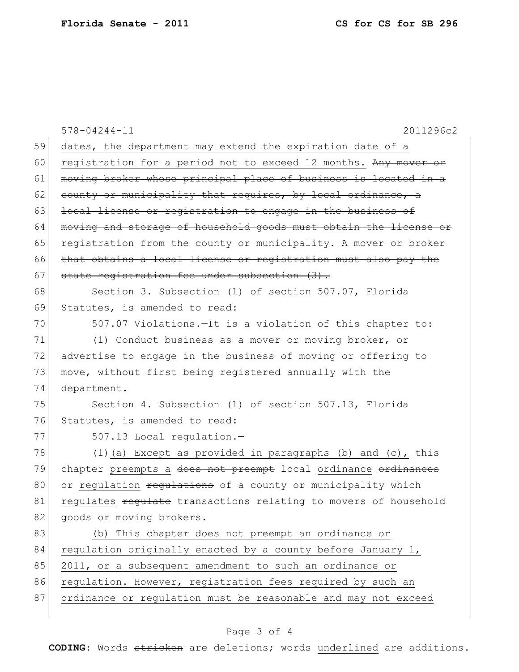|    | 2011296c2<br>$578 - 04244 - 11$                                  |
|----|------------------------------------------------------------------|
| 59 | dates, the department may extend the expiration date of a        |
| 60 | registration for a period not to exceed 12 months. Any mover or  |
| 61 | moving broker whose principal place of business is located in a  |
| 62 | county or municipality that requires, by local ordinance, a      |
| 63 | local license or registration to engage in the business of       |
| 64 | moving and storage of household goods must obtain the license or |
| 65 | registration from the county or municipality. A mover or broker  |
| 66 | that obtains a local license or registration must also pay the   |
| 67 | state registration fee under subsection (3).                     |
| 68 | Section 3. Subsection (1) of section 507.07, Florida             |
| 69 | Statutes, is amended to read:                                    |
| 70 | 507.07 Violations. - It is a violation of this chapter to:       |
| 71 | (1) Conduct business as a mover or moving broker, or             |
| 72 | advertise to engage in the business of moving or offering to     |
| 73 | move, without first being registered annually with the           |
| 74 | department.                                                      |
| 75 | Section 4. Subsection (1) of section 507.13, Florida             |
| 76 | Statutes, is amended to read:                                    |
| 77 | 507.13 Local regulation.-                                        |
| 78 | (1) (a) Except as provided in paragraphs (b) and $(c)$ , this    |
| 79 | chapter preempts a does not preempt local ordinance ordinances   |
| 80 | or regulation regulations of a county or municipality which      |
| 81 | regulates regulate transactions relating to movers of household  |
| 82 | goods or moving brokers.                                         |
| 83 | (b) This chapter does not preempt an ordinance or                |
| 84 | regulation originally enacted by a county before January 1,      |
| 85 | 2011, or a subsequent amendment to such an ordinance or          |
| 86 | requlation. However, registration fees required by such an       |
| 87 | ordinance or regulation must be reasonable and may not exceed    |
|    |                                                                  |

## Page 3 of 4